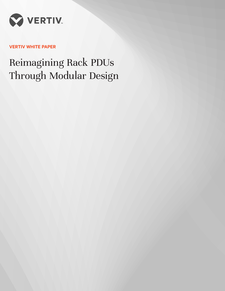

# **VERTIV WHITE PAPER**

# Reimagining Rack PDUs Through Modular Design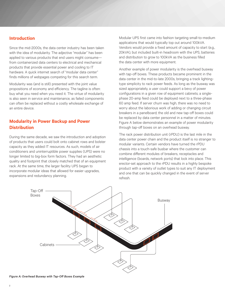# **Introduction**

Since the mid-2000s, the data center industry has been taken with the idea of modularity. The adjective "modular" has been applied to various products that end users might consume from containerized data centers to electrical and mechanical products that provide essential power and cooling to IT hardware. A quick internet search of "modular data center" finds millions of webpages competing for this search term.

Modularity was (and is still) presented with the joint value propositions of economy and efficiency. The tagline is often: buy what you need when you need it. The virtue of modularity is also seen in service and maintenance, as failed components can often be replaced without a costly wholesale exchange of an entire device.

# **Modularity in Power Backup and Power Distribution**

During the same decade, we saw the introduction and adoption of products that users could bolt onto cabinet rows and bolster capacity as they added IT resources. As such, models of air conditioners and uninterruptible power supplies (UPS) were no longer limited to big-box form factors. They had an aesthetic quality and footprint that closely matched that of an equipment rack. At the same time, the larger facility UPS began to incorporate modular ideas that allowed for easier upgrades, expansions and redundancy planning.

Modular UPS first came into fashion targeting small-to-medium applications that would typically top out around 100kVA. Vendors would provide a fixed amount of capacity to start (e.g., 20kVA), but included built-in headroom with the UPS, batteries and distribution to grow to 100kVA as the business filled the data center with more equipment.

Another example of power modularity is the overhead busway with tap-off boxes. These products became prominent in the data center in the mid-to-late 2000s, bringing a track lightingtype simplicity to rack power feeds. As long as the busway was sized appropriately, a user could support a bevy of power configurations in a given row of equipment cabinets; a singlephase 20-amp feed could be deployed next to a three-phase 60 amp feed. If server churn was high, there was no need to worry about the laborious work of adding or changing circuit breakers in a panelboard; the old and new tap-off boxes could be replaced by data center personnel in a matter of minutes. Figure A below demonstrates an example of power modularity through tap-off boxes on an overhead busway.

The rack power distribution unit (rPDU) is the last mile in the data center power chain and the product itself is no stranger to modular variants. Certain vendors have turned the rPDU chassis into a touch-safe busbar where the customer can combine different modules of breakers, receptacles and intelligence (boards, network ports) that lock into place. This erector-set approach to the rPDU results in a highly bespoke product with a variety of outlet types to suit any IT deployment and one that can be quickly changed in the event of server refresh.

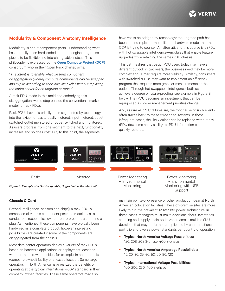

# **Modularity & Component Anatomy Intelligence**

Modularity is about component parts—understanding what has normally been hard-coded and then engineering those pieces to be flexible and interchangeable instead. This philosophy is expressed by the **[Open Compute Project \(OCP\)](http://telecombloger.ru/wp-content/uploads/2012/05/Open_Rack_Charter.pdf)** consortium who, in their Open Rack charter, write:

*"The intent is to enable what we term component disaggregation [where] compute components can be swapped and expire according to their own life cycles without replacing the entire server for an upgrade or repair."*

A rack PDU, made in this mold and embodying this disaggregation, would step outside the conventional market model for rack PDUs.

Rack PDUs have historically been segmented by technology into the lexicon of basic, locally metered, input metered, outlet switched, outlet monitored or outlet switched and monitored. As users progress from one segment to the next, functionality increases and so does cost. But, to this point, the segments

have yet to be bridged by technology; the upgrade path has been rip and replace—much like the hardware model that the OCP is trying to counter. An alternative to this course is a rPDU with hot swappable intelligence—modules that enable feature upgrades while retaining the same rPDU chassis.

This path realizes that basic rPDU users today may have a different outlook in two years; the business need may be more complex and IT may require more visibility. Similarly, consumers with switched rPDUs may want to implement an efficiency program that requires more granular measurements at the outlets. Through hot-swappable intelligence, both users achieve a degree of future-proofing; see example in Figure B below. The rPDU becomes an investment that can be repurposed as power management priorities change.

And, as rare as rPDU failures are, the root cause of such events often traces back to these embedded systems. In these infrequent cases, the likely culprit can be replaced without any rPDU downtime and visibility to rPDU information can be quickly restored.



#### **Chassis & Cord**

Beyond intelligence (sensors and chips), a rack PDU is composed of various component parts—a metal chassis, conductors, receptacles, overcurrent protectors, a cord and a plug. As mentioned, these components have typically been hardwired as a complete product; however, interesting possibilities are created if some of the components are disaggregated from the chassis.

Most data center operators deploy a variety of rack PDUs based on hardware applications or deployment locations whether the hardware resides, for example, in an on premise (company-owned) facility or a leased location. Some large operators in North America have realized the benefits of operating at the typical international 400V standard in their company-owned facilities. These same operators may also

maintain points-of-presence or other production gear at North American colocation facilities. These off-premise sites are more likely to run the prevalent 120V/208V power architecture. In these cases, managers must make decisions about inventories, sourcing and supply chain optimization across multiple SKUs decisions that may be further complicated by an international portfolio and diverse power standards per country of operation.

Support

- y Typical North America Voltage Possibilities: 120, 208, 208 3-phase, 400 3-phase
- y Typical North America Amperage Possibilities: 15, 20, 30, 35, 40, 50, 60, 80, 120
- y Typical International Voltage Possibilities: 100, 200, 230, 400 3-phase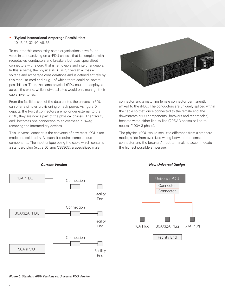y Typical International Amperage Possibilities: 10, 13, 16, 32, 40, 48, 63

To counter this complexity, some organizations have found value in standardizing on a rPDU chassis that is complete with receptacles, conductors and breakers but uses specialized connectors with a cord that is removable and interchangeable. In this scheme, the physical rPDU is "universal" across all voltage and amperage considerations and is defined entirely by this modular cord and plug—of which there could be several possibilities. Thus, the same physical rPDU could be deployed across the world, while individual sites would only manage their cable inventories.

From the facilities side of the data center, the universal rPDU can offer a simpler provisioning of rack power. As figure D depicts, the typical connectors are no longer external to the rPDU; they are now a part of the physical chassis. The "facility end" becomes one connection to an overhead busway, removing the intermediary devices.

This universal concept is the converse of how most rPDUs are made and sold today. As such, it requires some unique components. The most unique being the cable which contains a standard plug (e.g., a 50 amp CS8365), a specialized male



connector and a matching female connector permanently affixed to the rPDU. The conductors are uniquely spliced within the cable so that, once connected to the female end, the downstream rPDU components (breakers and receptacles) become wired either line-to-line (208V 3 phase) or line-toneutral (400V 3 phase).

The physical rPDU would see little difference from a standard model, aside from oversized wiring between the female connector and the breakers' input terminals to accommodate the highest possible amperage.



#### *Current Version New Universal Design*

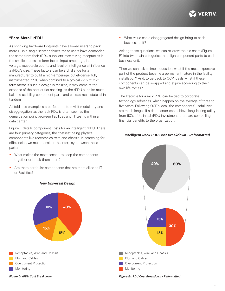

#### **"Bare-Metal" rPDU**

As shrinking hardware footprints have allowed users to pack more IT in a single server cabinet, these users have demanded the same from their rPDU suppliers: maximizing receptacles in the smallest possible form factor. Input amperage, input voltage, receptacle counts and level of intelligence all influence a rPDU's size. These factors can be a challenge for a manufacturer to build a high-amperage, outlet-dense, fully instrumented rPDU when confined to a typical 72" x 2" x 2" form factor. If such a design is realized, it may come at the expense of the best outlet spacing, as the rPDU supplier must balance usability, component parts and chassis real estate all in tandem.

All told, this example is a perfect one to revisit modularity and disaggregation, as the rack PDU is often seen as the demarcation point between Facilities and IT teams within a data center.

Figure E details component costs for an intelligent rPDU. There are four primary categories, the costliest being physical components like receptacles, wire and chassis. In searching for efficiencies, we must consider the interplay between these parts:

- What makes the most sense to keep the components together or break them apart?
- Are there particular components that are more allied to IT or Facilities?



#### *New Universal Design*

Receptacles, Wire, and Chassis Plug and Cables Overcurrent Protection Monitoring

• What value can a disaggregated design bring to each business unit?

Asking these questions, we can re-draw the pie chart (Figure F) into two main categories that align component parts to each business unit.

Then we can ask a simple question: what if the most expensive part of the product became a permanent fixture in the facility installation? And, to tie back to OCP ideals, what if these components can be swapped and expire according to their own life cycles?

The lifecycle for a rack PDU can be tied to corporate technology refreshes, which happen on the average of three to five years. Following OCP's ideal, the components' useful lives are much longer. If a data center can achieve long-lasting utility from 60% of its initial rPDU investment, there are compelling financial benefits to the organization.

#### *Intelligent Rack PDU Cost Breakdown - Reformatted*



*Figure D: rPDU Cost Breakdown*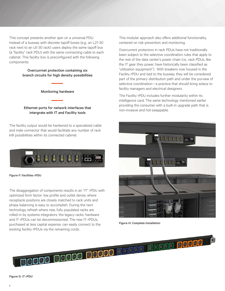This concept presents another spin on a universal PDU. Instead of a busway with discrete tapoff boxes (e.g., an L21-30 rack next to an L6-30 rack) users deploy the same tapoff box (a "facility" rack PDU) with the same connecting cable to each cabinet. This facility box is preconfigured with the following components:

#### Overcurrnet protection containing six branch circuits for high density possibilities

Monitoring hardware

Ethernet ports for network interfaces that intergrate with IT and Facility tools

The facility output would be hardwired to a specialized cable and male connector that would facilitate any number of rack kW possibilities within its connected cabinet.



*Figure F: Facilities rPDU*

The disaggregation of components results in an "IT" rPDU with optimized form factor: low profile and outlet dense, where receptacle positions are closely matched to rack units and phase balancing is easy to accomplish. During the next technology refresh where new, fully populated racks are rolled-in by systems integrators, the legacy racks, hardware and IT rPDUs can be decommissioned. The new IT rPDUs, purchased at less capital expense, can easily connect to the existing facility rPDUs via the remaining cords.

This modular approach also offers additional functionality, centered on risk prevention and monitoring.

Overcurrent protectors in rack PDUs have not traditionally been subject to the selective coordination rules that apply to the rest of the data center's power chain (i.e., rack PDUs, like the IT gear they power, have historically been classified as "utilization equipment"). With breakers now housed in the Facility rPDU and tied to the busway, they will be considered part of the primary distribution path and under the purview of selective coordination—a practice that should bring solace to facility managers and electrical designers.

The Facility rPDU includes further modularity within its intelligence card. The same technology mentioned earlier providing the consumer with a built-in upgrade path that is non-invasive and hot-swappable.



*Figure H: Complete Installation*

**00000 00000 00000 00000 00000 00000** 

*Figure G: IT rPDU*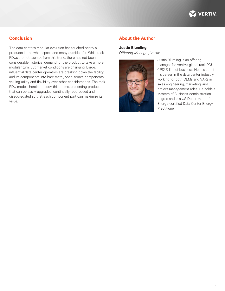

7

# **Conclusion**

The data center's modular evolution has touched nearly all products in the white space and many outside of it. While rack PDUs are not exempt from this trend, there has not been considerable historical demand for the product to take a more modular turn. But market conditions are changing. Large, influential data center operators are breaking down the facility and its components into bare metal, open source components, valuing utility and flexibility over other considerations. The rack PDU models herein embody this theme, presenting products that can be easily upgraded, continually repurposed and disaggregated so that each component part can maximize its value.

### **About the Author**

#### **Justin Blumling**

*Offiering Manager, Vertiv*



Justin Blumling is an offering manager for Vertiv's global rack PDU (rPDU) line of business. He has spent his career in the data center industry working for both OEMs and VARs in sales engineering, marketing, and project management roles. He holds a Masters of Business Administration degree and is a US Department of Energy-certified Data Center Energy Practitioner.